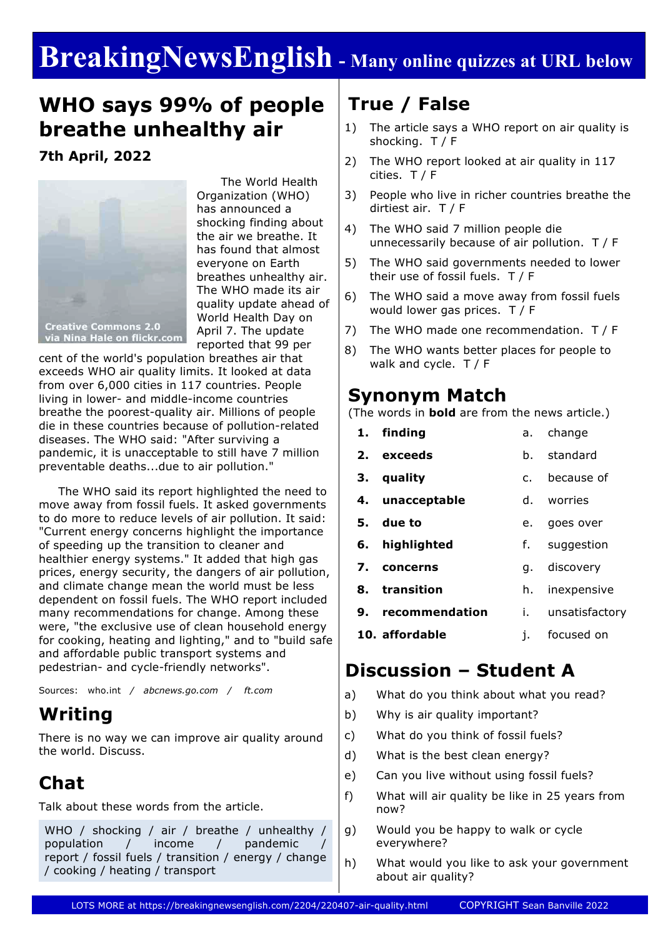# **BreakingNewsEnglish - Many online quizzes at URL below**

# **WHO says 99% of people breathe unhealthy air**

### **7th April, 2022**



 The World Health Organization (WHO) has announced a shocking finding about the air we breathe. It has found that almost everyone on Earth breathes unhealthy air. The WHO made its air quality update ahead of World Health Day on April 7. The update reported that 99 per

**Creative Commons 2.0** via Nina Hale on flickr.com

cent of the world's population breathes air that exceeds WHO air quality limits. It looked at data from over 6,000 cities in 117 countries. People living in lower- and middle-income countries breathe the poorest-quality air. Millions of people die in these countries because of pollution-related diseases. The WHO said: "After surviving a pandemic, it is unacceptable to still have 7 million preventable deaths...due to air pollution."

 The WHO said its report highlighted the need to move away from fossil fuels. It asked governments to do more to reduce levels of air pollution. It said: "Current energy concerns highlight the importance of speeding up the transition to cleaner and healthier energy systems." It added that high gas prices, energy security, the dangers of air pollution, and climate change mean the world must be less dependent on fossil fuels. The WHO report included many recommendations for change. Among these were, "the exclusive use of clean household energy for cooking, heating and lighting," and to "build safe and affordable public transport systems and pedestrian- and cycle-friendly networks".

Sources: who.int */ abcnews.go.com / ft.com*

## **Writing**

There is no way we can improve air quality around the world. Discuss.

# **Chat**

Talk about these words from the article.

WHO / shocking / air / breathe / unhealthy / population / income / pandemic report / fossil fuels / transition / energy / change / cooking / heating / transport

## **True / False**

- 1) The article says a WHO report on air quality is shocking. T / F
- 2) The WHO report looked at air quality in 117 cities. T / F
- 3) People who live in richer countries breathe the dirtiest air. T / F
- 4) The WHO said 7 million people die unnecessarily because of air pollution. T / F
- 5) The WHO said governments needed to lower their use of fossil fuels. T / F
- 6) The WHO said a move away from fossil fuels would lower gas prices. T / F
- 7) The WHO made one recommendation. T / F
- 8) The WHO wants better places for people to walk and cycle. T / F

### **Synonym Match**

(The words in **bold** are from the news article.)

| 1. finding        | а.             | change         |  |
|-------------------|----------------|----------------|--|
| 2. exceeds        | b.             | standard       |  |
| 3. quality        | C <sub>1</sub> | because of     |  |
| 4. unacceptable   |                | d. worries     |  |
| 5. due to         | e.             | goes over      |  |
| 6. highlighted    | $f_{\star}$    | suggestion     |  |
| 7. concerns       | q.             | discovery      |  |
| 8. transition     | h.             | inexpensive    |  |
| 9. recommendation | i. I           | unsatisfactory |  |
| 10. affordable    | j.             | focused on     |  |
|                   |                |                |  |

## **Discussion – Student A**

- a) What do you think about what you read?
- b) Why is air quality important?
- c) What do you think of fossil fuels?
- d) What is the best clean energy?
- e) Can you live without using fossil fuels?
- f) What will air quality be like in 25 years from now?
- g) Would you be happy to walk or cycle everywhere?
- h) What would you like to ask your government about air quality?